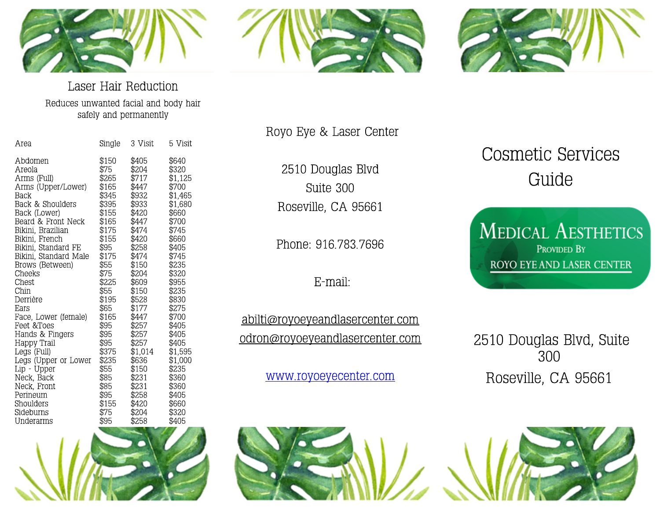





#### Laser Hair Reduction Reduces unwanted facial and body hair safely and permanently

| Area                  | Single | 3 Visit | 5 Visit |
|-----------------------|--------|---------|---------|
| Abdomen               | \$150  | \$405   | \$640   |
| Areola                | \$75   | \$204   | \$320   |
| Arms (Full)           | \$265  | \$717   | \$1,125 |
| Arms (Upper/Lower)    | \$165  | \$447   | \$700   |
| Back                  | \$345  | \$932   | \$1,465 |
| Back & Shoulders      | \$395  | \$933   | \$1,680 |
| Back (Lower)          | \$155  | \$420   | \$660   |
| Beard & Front Neck    | \$165  | \$447   | \$700   |
| Bikini, Brazilian     | \$175  | \$474   | \$745   |
| Bikini, French        | \$155  | \$420   | \$660   |
| Bikini, Standard FE   | \$95   | \$258   | \$405   |
| Bikini, Standard Male | \$175  | \$474   | \$745   |
| Brows (Between)       | \$55   | \$150   | \$235   |
| Cheeks                | \$75   | \$204   | \$320   |
| Chest                 | \$225  | \$609   | \$955   |
| Chin                  | \$55   | \$150   | \$235   |
| Derrière              | \$195  | \$528   | \$830   |
| Ears                  | \$65   | \$177   | \$275   |
| Face, Lower (female)  | \$165  | \$447   | \$700   |
| Feet &Toes            | \$95   | \$257   | \$405   |
| Hands & Fingers       | \$95   | \$257   | \$405   |
| Happy Trail           | \$95   | \$257   | \$405   |
| Legs (Full)           | \$375  | \$1,014 | \$1,595 |
| Legs (Upper or Lower  | \$235  | \$636   | \$1,000 |
| Lip - Upper           | \$55   | \$150   | \$235   |
| Neck, Back            | \$85   | \$231   | \$360   |
| Neck, Front           | \$85   | \$231   | \$360   |
| Perineum              | \$95   | \$258   | \$405   |
| Shoulders             | \$155  | \$420   | \$660   |
| Sideburns             | \$75   | \$204   | \$320   |
| Underarms             | \$95   | \$258   | \$405   |



2510 Douglas Blvd Suite 300 Roseville, CA 95661

Phone: 916.783.7696

E-mail:

abilti@royoeyeandlasercenter.com odron@royoeyeandlasercenter.com

[www.royoeyecenter.com](http://www.royoeyecenter.com)

# Cosmetic Services Guide

**MEDICAL AESTHETICS PROVIDED BY** ROYO EYE AND LASER CENTER

2510 Douglas Blvd, Suite 300 Roseville, CA 95661